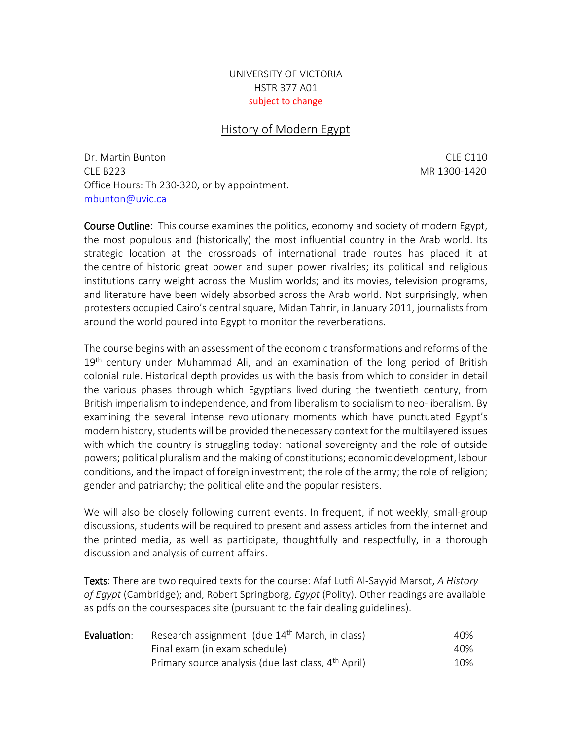## UNIVERSITY OF VICTORIA HSTR 377 A01 subject to change

# History of Modern Egypt

Dr. Martin Bunton CLE C110 CLE B223 MR 1300-1420 Office Hours: Th 230-320, or by appointment. [mbunton@uvic.ca](mailto:mbunton@uvic.ca)

Course Outline: This course examines the politics, economy and society of modern Egypt, the most populous and (historically) the most influential country in the Arab world. Its strategic location at the crossroads of international trade routes has placed it at the centre of historic great power and super power rivalries; its political and religious institutions carry weight across the Muslim worlds; and its movies, television programs, and literature have been widely absorbed across the Arab world. Not surprisingly, when protesters occupied Cairo's central square, Midan Tahrir, in January 2011, journalists from around the world poured into Egypt to monitor the reverberations.

The course begins with an assessment of the economic transformations and reforms of the 19<sup>th</sup> century under Muhammad Ali, and an examination of the long period of British colonial rule. Historical depth provides us with the basis from which to consider in detail the various phases through which Egyptians lived during the twentieth century, from British imperialism to independence, and from liberalism to socialism to neo-liberalism. By examining the several intense revolutionary moments which have punctuated Egypt's modern history, students will be provided the necessary context for the multilayered issues with which the country is struggling today: national sovereignty and the role of outside powers; political pluralism and the making of constitutions; economic development, labour conditions, and the impact of foreign investment; the role of the army; the role of religion; gender and patriarchy; the political elite and the popular resisters.

We will also be closely following current events. In frequent, if not weekly, small-group discussions, students will be required to present and assess articles from the internet and the printed media, as well as participate, thoughtfully and respectfully, in a thorough discussion and analysis of current affairs.

Texts: There are two required texts for the course: Afaf Lutfi Al-Sayyid Marsot, *A History of Egypt* (Cambridge); and, Robert Springborg, *Egypt* (Polity). Other readings are available as pdfs on the coursespaces site (pursuant to the fair dealing guidelines).

| Evaluation: | Research assignment (due 14 <sup>th</sup> March, in class)      | 40% |
|-------------|-----------------------------------------------------------------|-----|
|             | Final exam (in exam schedule)                                   | 40% |
|             | Primary source analysis (due last class, 4 <sup>th</sup> April) | 10% |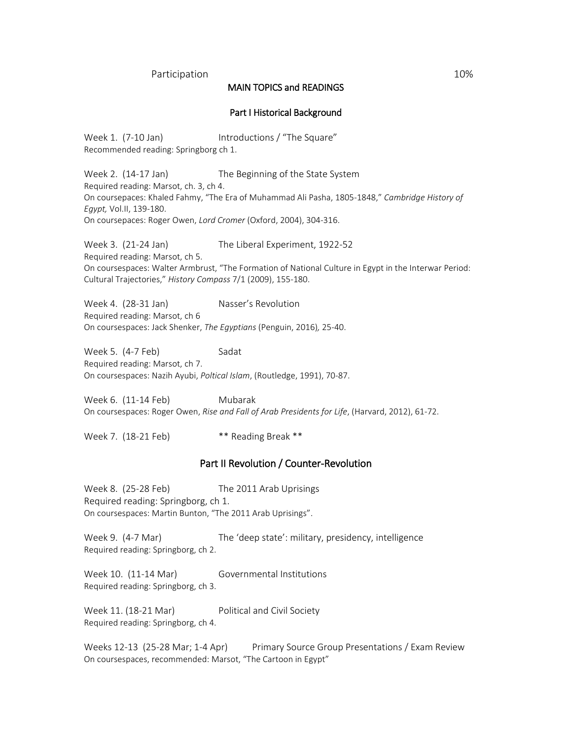### Participation 10%

#### MAIN TOPICS and READINGS

### Part I Historical Background

Week 1. (7-10 Jan) Introductions / "The Square" Recommended reading: Springborg ch 1.

Week 2. (14-17 Jan) The Beginning of the State System Required reading: Marsot, ch. 3, ch 4. On coursepaces: Khaled Fahmy, "The Era of Muhammad Ali Pasha, 1805-1848," *Cambridge History of Egypt,* Vol.II, 139-180. On coursepaces: Roger Owen, *Lord Cromer* (Oxford, 2004), 304-316.

Week 3. (21-24 Jan) The Liberal Experiment, 1922-52 Required reading: Marsot, ch 5. On coursespaces: Walter Armbrust, "The Formation of National Culture in Egypt in the Interwar Period: Cultural Trajectories," *History Compass* 7/1 (2009), 155-180.

Week 4. (28-31 Jan) Nasser's Revolution Required reading: Marsot, ch 6 On coursespaces: Jack Shenker, *The Egyptians* (Penguin, 2016)*,* 25-40.

Week 5. (4-7 Feb) Sadat Required reading: Marsot, ch 7. On coursespaces: Nazih Ayubi, *Poltical Islam*, (Routledge, 1991), 70-87.

Week 6. (11-14 Feb) Mubarak On coursespaces: Roger Owen, *Rise and Fall of Arab Presidents for Life*, (Harvard, 2012), 61-72.

Week 7. (18-21 Feb) \*\* Reading Break \*\*

#### Part II Revolution / Counter-Revolution

Week 8. (25-28 Feb) The 2011 Arab Uprisings Required reading: Springborg, ch 1. On coursespaces: Martin Bunton, "The 2011 Arab Uprisings".

Week 9. (4-7 Mar) The 'deep state': military, presidency, intelligence Required reading: Springborg, ch 2.

Week 10. (11-14 Mar) Governmental Institutions Required reading: Springborg, ch 3.

Week 11. (18-21 Mar) Political and Civil Society Required reading: Springborg, ch 4.

Weeks 12-13 (25-28 Mar; 1-4 Apr) Primary Source Group Presentations / Exam Review On coursespaces, recommended: Marsot, "The Cartoon in Egypt"